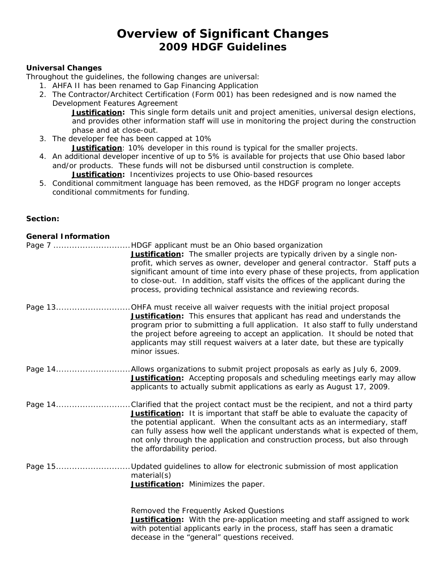# **Overview of Significant Changes 2009 HDGF Guidelines**

#### **Universal Changes**

Throughout the guidelines, the following changes are universal:

- 1. AHFA II has been renamed to Gap Financing Application
- 2. The Contractor/Architect Certification (Form 001) has been redesigned and is now named the Development Features Agreement

**Justification:** This single form details unit and project amenities, universal design elections, and provides other information staff will use in monitoring the project during the construction phase and at close-out.

- 3. The developer fee has been capped at 10%
	- **Justification**: 10% developer in this round is typical for the smaller projects.
- 4. An additional developer incentive of up to 5% is available for projects that use Ohio based labor and/or products. These funds will not be disbursed until construction is complete.

**Justification:** Incentivizes projects to use Ohio-based resources

5. Conditional commitment language has been removed, as the HDGF program no longer accepts conditional commitments for funding.

### **Section:**

| <b>General Information</b> |                                                                                                                                                                                                                                                                                                                                                                                                                                                                |
|----------------------------|----------------------------------------------------------------------------------------------------------------------------------------------------------------------------------------------------------------------------------------------------------------------------------------------------------------------------------------------------------------------------------------------------------------------------------------------------------------|
|                            | Page 7 HDGF applicant must be an Ohio based organization<br>Justification: The smaller projects are typically driven by a single non-<br>profit, which serves as owner, developer and general contractor. Staff puts a<br>significant amount of time into every phase of these projects, from application<br>to close-out. In addition, staff visits the offices of the applicant during the<br>process, providing technical assistance and reviewing records. |
|                            | Page 13OHFA must receive all waiver requests with the initial project proposal<br>Justification: This ensures that applicant has read and understands the<br>program prior to submitting a full application. It also staff to fully understand<br>the project before agreeing to accept an application. It should be noted that<br>applicants may still request waivers at a later date, but these are typically<br>minor issues.                              |
|                            | Page 14Allows organizations to submit project proposals as early as July 6, 2009.<br><b>Justification:</b> Accepting proposals and scheduling meetings early may allow<br>applicants to actually submit applications as early as August 17, 2009.                                                                                                                                                                                                              |
|                            | Page 14Clarified that the project contact must be the recipient, and not a third party<br>Justification: It is important that staff be able to evaluate the capacity of<br>the potential applicant. When the consultant acts as an intermediary, staff<br>can fully assess how well the applicant understands what is expected of them,<br>not only through the application and construction process, but also through<br>the affordability period.            |
|                            | Page 15Updated guidelines to allow for electronic submission of most application<br>material(s)<br>Justification: Minimizes the paper.                                                                                                                                                                                                                                                                                                                         |

Removed the Frequently Asked Questions **Justification:** With the pre-application meeting and staff assigned to work with potential applicants early in the process, staff has seen a dramatic decease in the "general" questions received.